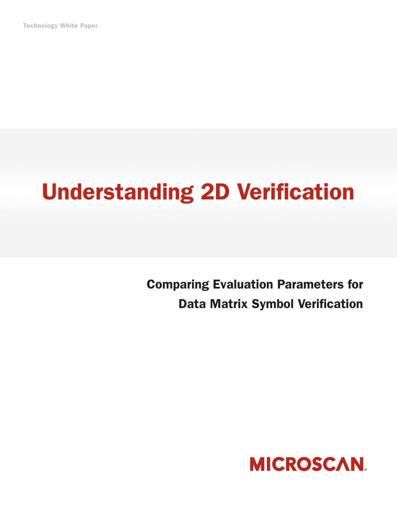Technology White Paper

## Understanding 2D Verification

Comparing Evaluation Parameters for Data Matrix Symbol Verification

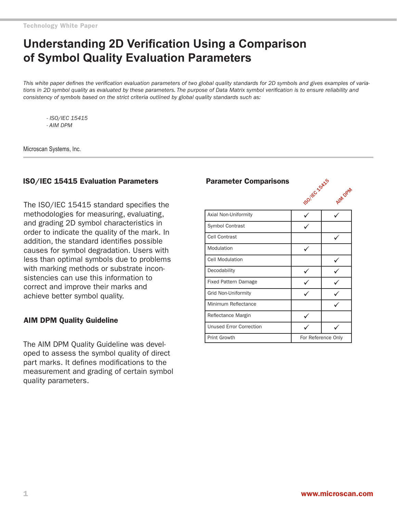## **Understanding 2D Verification Using a Comparison of Symbol Quality Evaluation Parameters**

*This white paper defines the verification evaluation parameters of two global quality standards for 2D symbols and gives examples of variations in 2D symbol quality as evaluated by these parameters. The purpose of Data Matrix symbol verification is to ensure reliability and consistency of symbols based on the strict criteria outlined by global quality standards such as:* 

*- ISO/IEC 15415 - AIM DPM*

Microscan Systems, Inc.

#### ISO/IEC 15415 Evaluation Parameters

The ISO/IEC 15415 standard specifies the methodologies for measuring, evaluating, and grading 2D symbol characteristics in order to indicate the quality of the mark. In addition, the standard identifies possible causes for symbol degradation. Users with less than optimal symbols due to problems with marking methods or substrate inconsistencies can use this information to correct and improve their marks and achieve better symbol quality.

#### AIM DPM Quality Guideline

The AIM DPM Quality Guideline was developed to assess the symbol quality of direct part marks. It defines modifications to the measurement and grading of certain symbol quality parameters.

# **Parameter Comparisons**  $\cos^{100}$



| Axial Non-Uniformity           |                    |  |
|--------------------------------|--------------------|--|
| Symbol Contrast                |                    |  |
| Cell Contrast                  |                    |  |
| Modulation                     |                    |  |
| <b>Cell Modulation</b>         |                    |  |
| Decodability                   |                    |  |
| <b>Fixed Pattern Damage</b>    |                    |  |
| <b>Grid Non-Uniformity</b>     |                    |  |
| Minimum Reflectance            |                    |  |
| Reflectance Margin             |                    |  |
| <b>Unused Error Correction</b> |                    |  |
| <b>Print Growth</b>            | For Reference Only |  |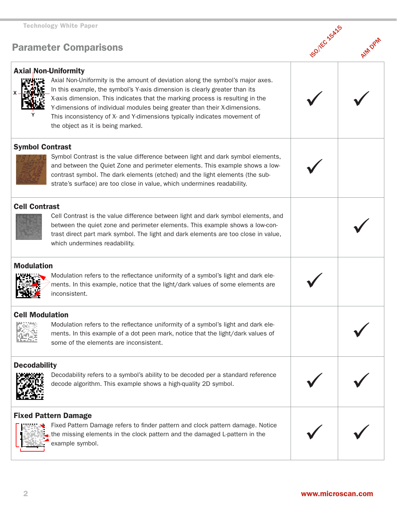## Parameter Comparisons